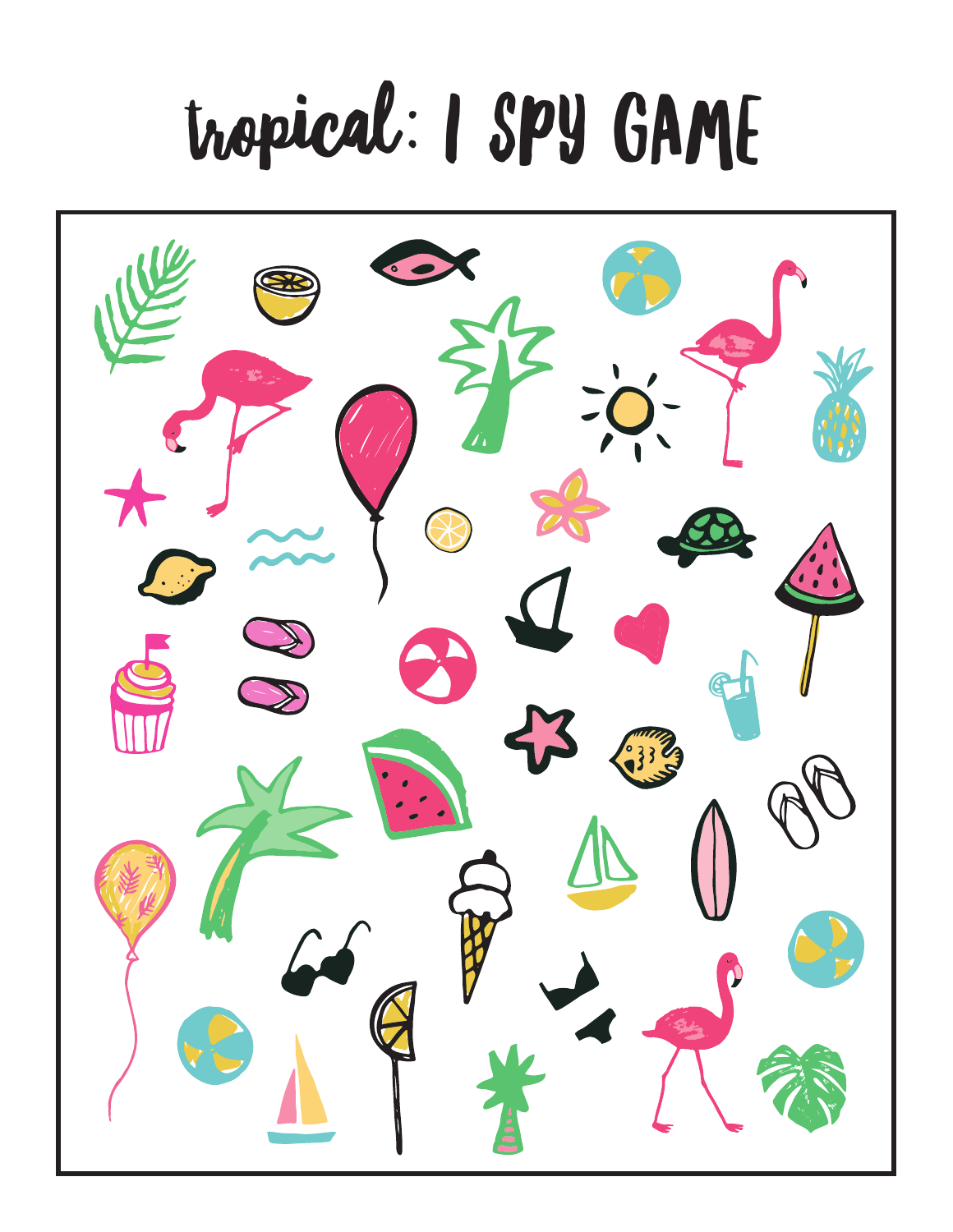## tropical: I SPY GAME